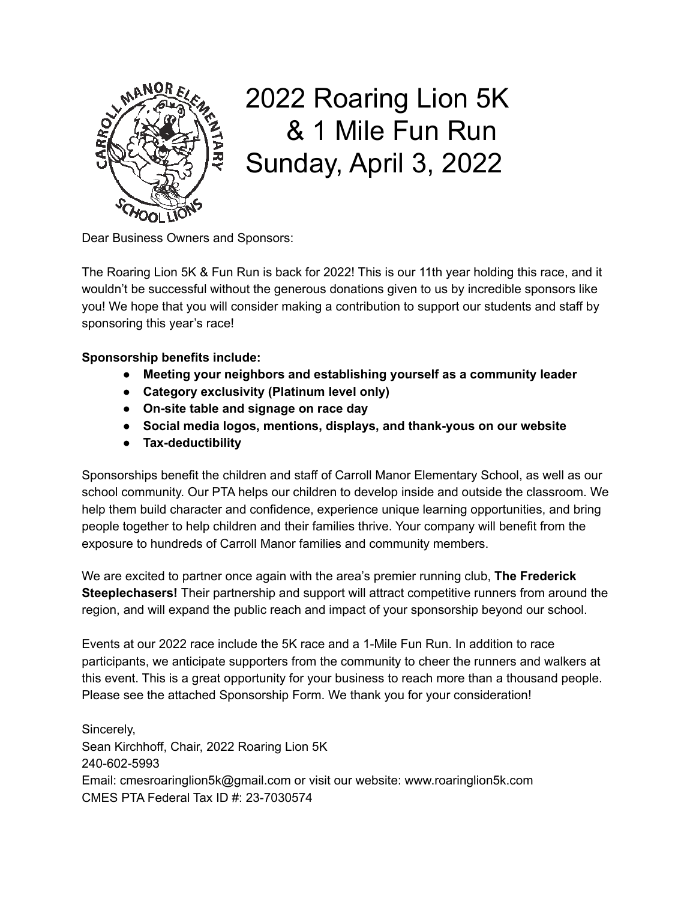

# 2022 Roaring Lion 5K & 1 Mile Fun Run Sunday, April 3, 2022

Dear Business Owners and Sponsors:

The Roaring Lion 5K & Fun Run is back for 2022! This is our 11th year holding this race, and it wouldn't be successful without the generous donations given to us by incredible sponsors like you! We hope that you will consider making a contribution to support our students and staff by sponsoring this year's race!

**Sponsorship benefits include:**

- **● Meeting your neighbors and establishing yourself as a community leader**
- **● Category exclusivity (Platinum level only)**
- **● On-site table and signage on race day**
- **● Social media logos, mentions, displays, and thank-yous on our website**
- **● Tax-deductibility**

Sponsorships benefit the children and staff of Carroll Manor Elementary School, as well as our school community. Our PTA helps our children to develop inside and outside the classroom. We help them build character and confidence, experience unique learning opportunities, and bring people together to help children and their families thrive. Your company will benefit from the exposure to hundreds of Carroll Manor families and community members.

We are excited to partner once again with the area's premier running club, **The Frederick Steeplechasers!** Their partnership and support will attract competitive runners from around the region, and will expand the public reach and impact of your sponsorship beyond our school.

Events at our 2022 race include the 5K race and a 1-Mile Fun Run. In addition to race participants, we anticipate supporters from the community to cheer the runners and walkers at this event. This is a great opportunity for your business to reach more than a thousand people. Please see the attached Sponsorship Form. We thank you for your consideration!

Sincerely, Sean Kirchhoff, Chair, 2022 Roaring Lion 5K 240-602-5993 Email: cmesroaringlion5k@gmail.com or visit our website: www.roaringlion5k.com CMES PTA Federal Tax ID #: 23-7030574